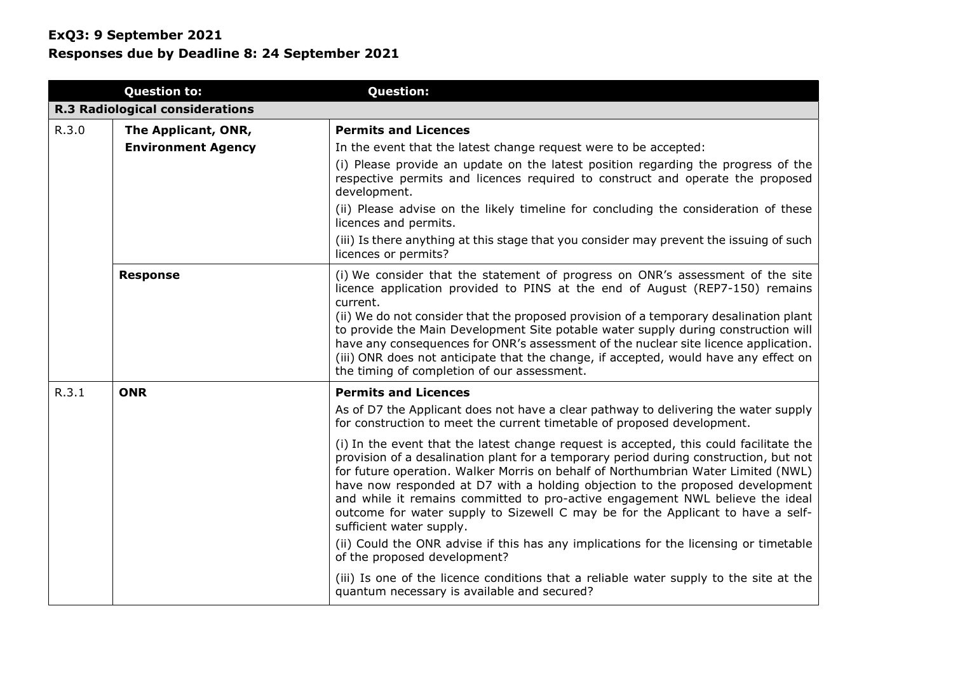|       | <b>Question to:</b>                    | <b>Question:</b>                                                                                                                                                                                                                                                                                                                                                                                                                                                                                                                                                                                                                               |
|-------|----------------------------------------|------------------------------------------------------------------------------------------------------------------------------------------------------------------------------------------------------------------------------------------------------------------------------------------------------------------------------------------------------------------------------------------------------------------------------------------------------------------------------------------------------------------------------------------------------------------------------------------------------------------------------------------------|
|       | <b>R.3 Radiological considerations</b> |                                                                                                                                                                                                                                                                                                                                                                                                                                                                                                                                                                                                                                                |
| R.3.0 | The Applicant, ONR,                    | <b>Permits and Licences</b>                                                                                                                                                                                                                                                                                                                                                                                                                                                                                                                                                                                                                    |
|       | <b>Environment Agency</b>              | In the event that the latest change request were to be accepted:                                                                                                                                                                                                                                                                                                                                                                                                                                                                                                                                                                               |
|       |                                        | (i) Please provide an update on the latest position regarding the progress of the<br>respective permits and licences required to construct and operate the proposed<br>development.                                                                                                                                                                                                                                                                                                                                                                                                                                                            |
|       |                                        | (ii) Please advise on the likely timeline for concluding the consideration of these<br>licences and permits.                                                                                                                                                                                                                                                                                                                                                                                                                                                                                                                                   |
|       |                                        | (iii) Is there anything at this stage that you consider may prevent the issuing of such<br>licences or permits?                                                                                                                                                                                                                                                                                                                                                                                                                                                                                                                                |
|       | <b>Response</b>                        | (i) We consider that the statement of progress on ONR's assessment of the site<br>licence application provided to PINS at the end of August (REP7-150) remains<br>current.<br>(ii) We do not consider that the proposed provision of a temporary desalination plant<br>to provide the Main Development Site potable water supply during construction will<br>have any consequences for ONR's assessment of the nuclear site licence application.<br>(iii) ONR does not anticipate that the change, if accepted, would have any effect on<br>the timing of completion of our assessment.                                                        |
| R.3.1 | <b>ONR</b>                             | <b>Permits and Licences</b>                                                                                                                                                                                                                                                                                                                                                                                                                                                                                                                                                                                                                    |
|       |                                        | As of D7 the Applicant does not have a clear pathway to delivering the water supply<br>for construction to meet the current timetable of proposed development.                                                                                                                                                                                                                                                                                                                                                                                                                                                                                 |
|       |                                        | (i) In the event that the latest change request is accepted, this could facilitate the<br>provision of a desalination plant for a temporary period during construction, but not<br>for future operation. Walker Morris on behalf of Northumbrian Water Limited (NWL)<br>have now responded at D7 with a holding objection to the proposed development<br>and while it remains committed to pro-active engagement NWL believe the ideal<br>outcome for water supply to Sizewell C may be for the Applicant to have a self-<br>sufficient water supply.<br>(ii) Could the ONR advise if this has any implications for the licensing or timetable |
|       |                                        | of the proposed development?                                                                                                                                                                                                                                                                                                                                                                                                                                                                                                                                                                                                                   |
|       |                                        | (iii) Is one of the licence conditions that a reliable water supply to the site at the<br>quantum necessary is available and secured?                                                                                                                                                                                                                                                                                                                                                                                                                                                                                                          |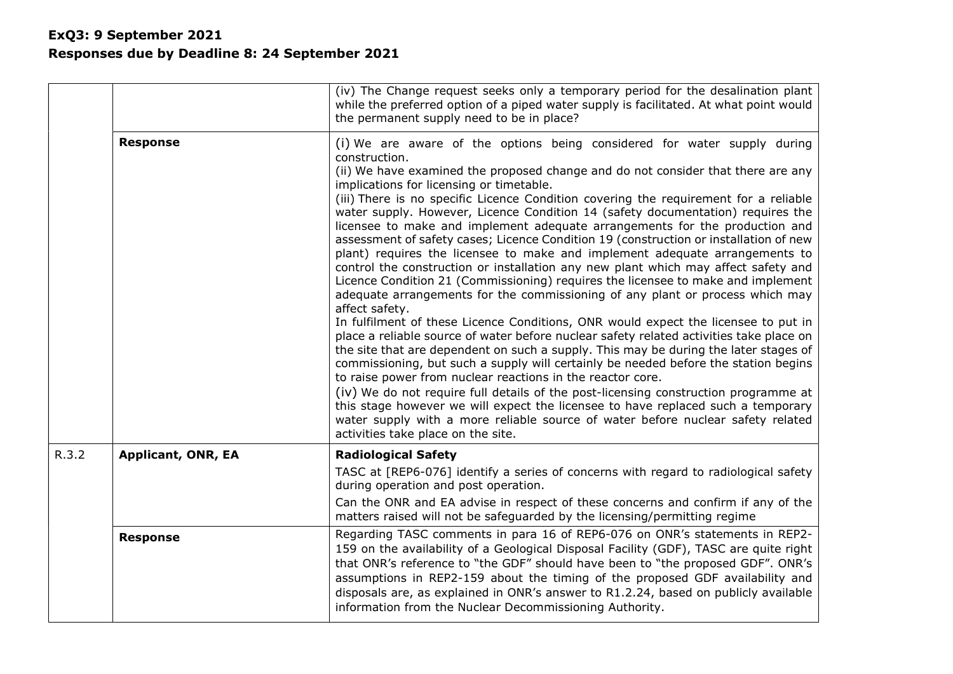|       |                           | (iv) The Change request seeks only a temporary period for the desalination plant<br>while the preferred option of a piped water supply is facilitated. At what point would<br>the permanent supply need to be in place?                                                                                                                                                                                                                                                                                                                                                                                                                                                                                                                                                                                                                                                                                                                                                                                                                                                                                                                                                                                                                                                                                                                                                                                                                                                                                                                                                                                                                                                    |
|-------|---------------------------|----------------------------------------------------------------------------------------------------------------------------------------------------------------------------------------------------------------------------------------------------------------------------------------------------------------------------------------------------------------------------------------------------------------------------------------------------------------------------------------------------------------------------------------------------------------------------------------------------------------------------------------------------------------------------------------------------------------------------------------------------------------------------------------------------------------------------------------------------------------------------------------------------------------------------------------------------------------------------------------------------------------------------------------------------------------------------------------------------------------------------------------------------------------------------------------------------------------------------------------------------------------------------------------------------------------------------------------------------------------------------------------------------------------------------------------------------------------------------------------------------------------------------------------------------------------------------------------------------------------------------------------------------------------------------|
|       | <b>Response</b>           | (i) We are aware of the options being considered for water supply during<br>construction.<br>(ii) We have examined the proposed change and do not consider that there are any<br>implications for licensing or timetable.<br>(iii) There is no specific Licence Condition covering the requirement for a reliable<br>water supply. However, Licence Condition 14 (safety documentation) requires the<br>licensee to make and implement adequate arrangements for the production and<br>assessment of safety cases; Licence Condition 19 (construction or installation of new<br>plant) requires the licensee to make and implement adequate arrangements to<br>control the construction or installation any new plant which may affect safety and<br>Licence Condition 21 (Commissioning) requires the licensee to make and implement<br>adequate arrangements for the commissioning of any plant or process which may<br>affect safety.<br>In fulfilment of these Licence Conditions, ONR would expect the licensee to put in<br>place a reliable source of water before nuclear safety related activities take place on<br>the site that are dependent on such a supply. This may be during the later stages of<br>commissioning, but such a supply will certainly be needed before the station begins<br>to raise power from nuclear reactions in the reactor core.<br>(iv) We do not require full details of the post-licensing construction programme at<br>this stage however we will expect the licensee to have replaced such a temporary<br>water supply with a more reliable source of water before nuclear safety related<br>activities take place on the site. |
| R.3.2 | <b>Applicant, ONR, EA</b> | <b>Radiological Safety</b><br>TASC at [REP6-076] identify a series of concerns with regard to radiological safety<br>during operation and post operation.                                                                                                                                                                                                                                                                                                                                                                                                                                                                                                                                                                                                                                                                                                                                                                                                                                                                                                                                                                                                                                                                                                                                                                                                                                                                                                                                                                                                                                                                                                                  |
|       |                           | Can the ONR and EA advise in respect of these concerns and confirm if any of the<br>matters raised will not be safeguarded by the licensing/permitting regime                                                                                                                                                                                                                                                                                                                                                                                                                                                                                                                                                                                                                                                                                                                                                                                                                                                                                                                                                                                                                                                                                                                                                                                                                                                                                                                                                                                                                                                                                                              |
|       | <b>Response</b>           | Regarding TASC comments in para 16 of REP6-076 on ONR's statements in REP2-<br>159 on the availability of a Geological Disposal Facility (GDF), TASC are quite right<br>that ONR's reference to "the GDF" should have been to "the proposed GDF". ONR's<br>assumptions in REP2-159 about the timing of the proposed GDF availability and<br>disposals are, as explained in ONR's answer to R1.2.24, based on publicly available<br>information from the Nuclear Decommissioning Authority.                                                                                                                                                                                                                                                                                                                                                                                                                                                                                                                                                                                                                                                                                                                                                                                                                                                                                                                                                                                                                                                                                                                                                                                 |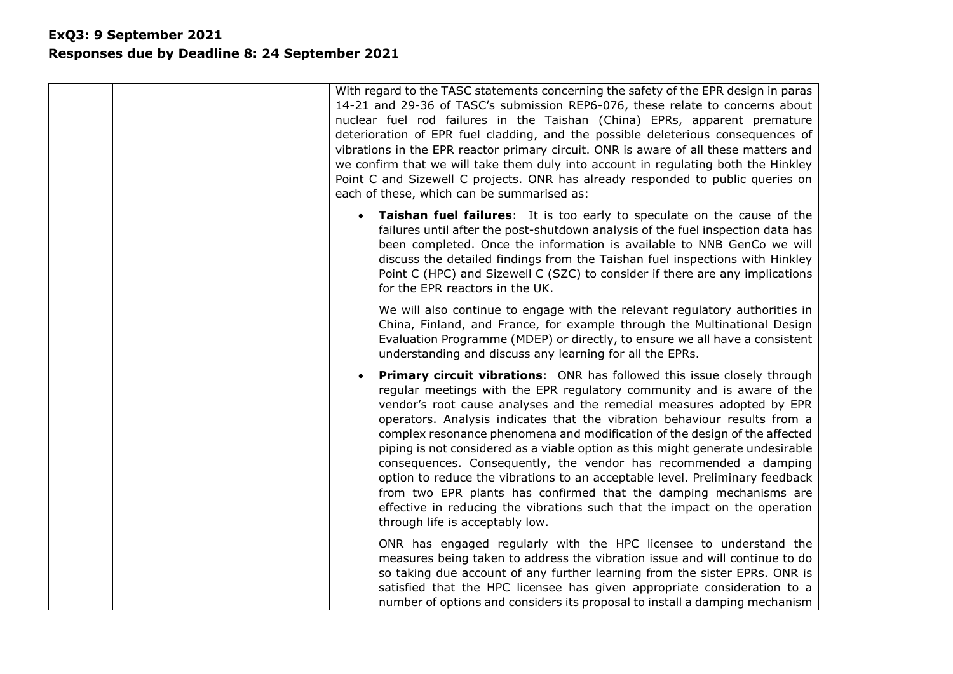| With regard to the TASC statements concerning the safety of the EPR design in paras<br>14-21 and 29-36 of TASC's submission REP6-076, these relate to concerns about<br>nuclear fuel rod failures in the Taishan (China) EPRs, apparent premature<br>deterioration of EPR fuel cladding, and the possible deleterious consequences of<br>vibrations in the EPR reactor primary circuit. ONR is aware of all these matters and<br>we confirm that we will take them duly into account in regulating both the Hinkley<br>Point C and Sizewell C projects. ONR has already responded to public queries on<br>each of these, which can be summarised as:                                                                                                                                                                     |
|--------------------------------------------------------------------------------------------------------------------------------------------------------------------------------------------------------------------------------------------------------------------------------------------------------------------------------------------------------------------------------------------------------------------------------------------------------------------------------------------------------------------------------------------------------------------------------------------------------------------------------------------------------------------------------------------------------------------------------------------------------------------------------------------------------------------------|
| <b>Taishan fuel failures:</b> It is too early to speculate on the cause of the<br>failures until after the post-shutdown analysis of the fuel inspection data has<br>been completed. Once the information is available to NNB GenCo we will<br>discuss the detailed findings from the Taishan fuel inspections with Hinkley<br>Point C (HPC) and Sizewell C (SZC) to consider if there are any implications<br>for the EPR reactors in the UK.                                                                                                                                                                                                                                                                                                                                                                           |
| We will also continue to engage with the relevant regulatory authorities in<br>China, Finland, and France, for example through the Multinational Design<br>Evaluation Programme (MDEP) or directly, to ensure we all have a consistent<br>understanding and discuss any learning for all the EPRs.                                                                                                                                                                                                                                                                                                                                                                                                                                                                                                                       |
| <b>Primary circuit vibrations:</b> ONR has followed this issue closely through<br>regular meetings with the EPR regulatory community and is aware of the<br>vendor's root cause analyses and the remedial measures adopted by EPR<br>operators. Analysis indicates that the vibration behaviour results from a<br>complex resonance phenomena and modification of the design of the affected<br>piping is not considered as a viable option as this might generate undesirable<br>consequences. Consequently, the vendor has recommended a damping<br>option to reduce the vibrations to an acceptable level. Preliminary feedback<br>from two EPR plants has confirmed that the damping mechanisms are<br>effective in reducing the vibrations such that the impact on the operation<br>through life is acceptably low. |
| ONR has engaged regularly with the HPC licensee to understand the<br>measures being taken to address the vibration issue and will continue to do<br>so taking due account of any further learning from the sister EPRs. ONR is<br>satisfied that the HPC licensee has given appropriate consideration to a<br>number of options and considers its proposal to install a damping mechanism                                                                                                                                                                                                                                                                                                                                                                                                                                |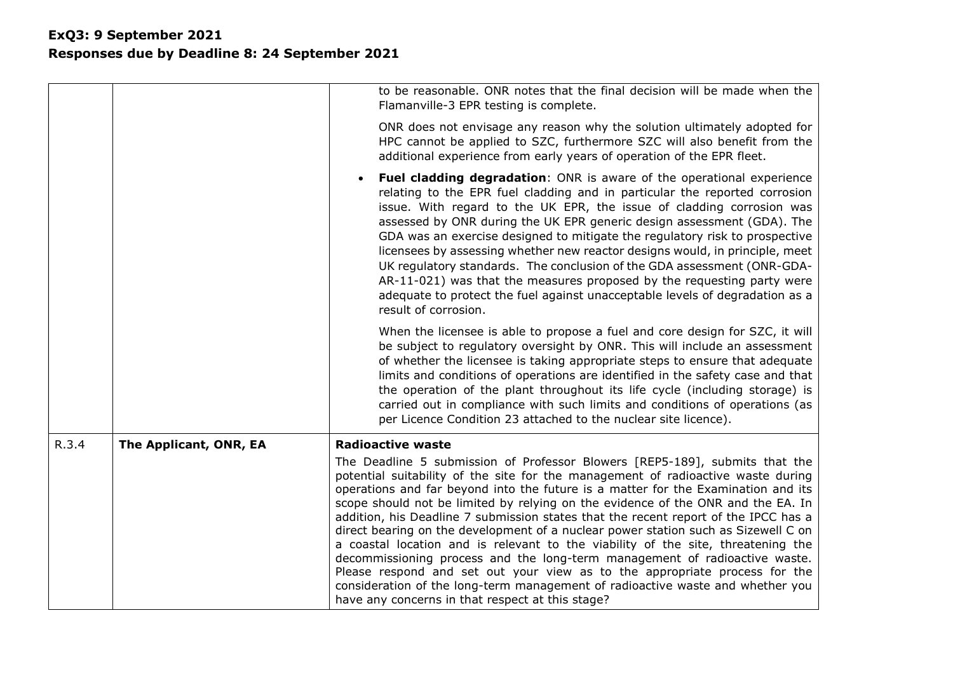|       |                        | to be reasonable. ONR notes that the final decision will be made when the<br>Flamanville-3 EPR testing is complete.                                                                                                                                                                                                                                                                                                                                                                                                                                                                                                                                                                                                                                                                                                                                                                                         |
|-------|------------------------|-------------------------------------------------------------------------------------------------------------------------------------------------------------------------------------------------------------------------------------------------------------------------------------------------------------------------------------------------------------------------------------------------------------------------------------------------------------------------------------------------------------------------------------------------------------------------------------------------------------------------------------------------------------------------------------------------------------------------------------------------------------------------------------------------------------------------------------------------------------------------------------------------------------|
|       |                        | ONR does not envisage any reason why the solution ultimately adopted for<br>HPC cannot be applied to SZC, furthermore SZC will also benefit from the<br>additional experience from early years of operation of the EPR fleet.                                                                                                                                                                                                                                                                                                                                                                                                                                                                                                                                                                                                                                                                               |
|       |                        | <b>Fuel cladding degradation:</b> ONR is aware of the operational experience<br>relating to the EPR fuel cladding and in particular the reported corrosion<br>issue. With regard to the UK EPR, the issue of cladding corrosion was<br>assessed by ONR during the UK EPR generic design assessment (GDA). The<br>GDA was an exercise designed to mitigate the regulatory risk to prospective<br>licensees by assessing whether new reactor designs would, in principle, meet<br>UK regulatory standards. The conclusion of the GDA assessment (ONR-GDA-<br>AR-11-021) was that the measures proposed by the requesting party were<br>adequate to protect the fuel against unacceptable levels of degradation as a<br>result of corrosion.                                                                                                                                                                   |
|       |                        | When the licensee is able to propose a fuel and core design for SZC, it will<br>be subject to regulatory oversight by ONR. This will include an assessment<br>of whether the licensee is taking appropriate steps to ensure that adequate<br>limits and conditions of operations are identified in the safety case and that<br>the operation of the plant throughout its life cycle (including storage) is<br>carried out in compliance with such limits and conditions of operations (as<br>per Licence Condition 23 attached to the nuclear site licence).                                                                                                                                                                                                                                                                                                                                                |
| R.3.4 | The Applicant, ONR, EA | <b>Radioactive waste</b>                                                                                                                                                                                                                                                                                                                                                                                                                                                                                                                                                                                                                                                                                                                                                                                                                                                                                    |
|       |                        | The Deadline 5 submission of Professor Blowers [REP5-189], submits that the<br>potential suitability of the site for the management of radioactive waste during<br>operations and far beyond into the future is a matter for the Examination and its<br>scope should not be limited by relying on the evidence of the ONR and the EA. In<br>addition, his Deadline 7 submission states that the recent report of the IPCC has a<br>direct bearing on the development of a nuclear power station such as Sizewell C on<br>a coastal location and is relevant to the viability of the site, threatening the<br>decommissioning process and the long-term management of radioactive waste.<br>Please respond and set out your view as to the appropriate process for the<br>consideration of the long-term management of radioactive waste and whether you<br>have any concerns in that respect at this stage? |